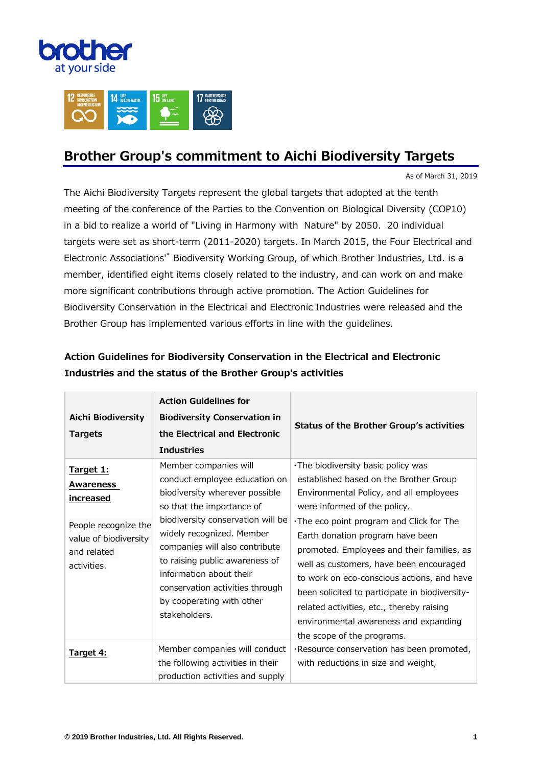



## **Brother Group's commitment to Aichi Biodiversity Targets**

As of March 31, 2019

The Aichi Biodiversity Targets represent the global targets that adopted at the tenth meeting of the conference of the Parties to the Convention on Biological Diversity (COP10) in a bid to realize a world of "Living in Harmony with Nature" by 2050. 20 individual targets were set as short-term (2011-2020) targets. In March 2015, the Four Electrical and Electronic Associations'\* Biodiversity Working Group, of which Brother Industries, Ltd. is a member, identified eight items closely related to the industry, and can work on and make more significant contributions through active promotion. The Action Guidelines for Biodiversity Conservation in the Electrical and Electronic Industries were released and the Brother Group has implemented various efforts in line with the guidelines.

| <b>Aichi Biodiversity</b><br><b>Targets</b>                                                                        | <b>Action Guidelines for</b><br><b>Biodiversity Conservation in</b><br>the Electrical and Electronic<br><b>Industries</b>                                                                                                                                                                                                                                               | <b>Status of the Brother Group's activities</b>                                                                                                                                                                                                                                                                                                                                                                                                                                                                                                        |
|--------------------------------------------------------------------------------------------------------------------|-------------------------------------------------------------------------------------------------------------------------------------------------------------------------------------------------------------------------------------------------------------------------------------------------------------------------------------------------------------------------|--------------------------------------------------------------------------------------------------------------------------------------------------------------------------------------------------------------------------------------------------------------------------------------------------------------------------------------------------------------------------------------------------------------------------------------------------------------------------------------------------------------------------------------------------------|
| Target 1:<br>Awareness<br>increased<br>People recognize the<br>value of biodiversity<br>and related<br>activities. | Member companies will<br>conduct employee education on<br>biodiversity wherever possible<br>so that the importance of<br>biodiversity conservation will be<br>widely recognized. Member<br>companies will also contribute<br>to raising public awareness of<br>information about their<br>conservation activities through<br>by cooperating with other<br>stakeholders. | . The biodiversity basic policy was<br>established based on the Brother Group<br>Environmental Policy, and all employees<br>were informed of the policy.<br>. The eco point program and Click for The<br>Earth donation program have been<br>promoted. Employees and their families, as<br>well as customers, have been encouraged<br>to work on eco-conscious actions, and have<br>been solicited to participate in biodiversity-<br>related activities, etc., thereby raising<br>environmental awareness and expanding<br>the scope of the programs. |
| Target 4:                                                                                                          | Member companies will conduct<br>the following activities in their<br>production activities and supply                                                                                                                                                                                                                                                                  | ·Resource conservation has been promoted,<br>with reductions in size and weight,                                                                                                                                                                                                                                                                                                                                                                                                                                                                       |

## **Action Guidelines for Biodiversity Conservation in the Electrical and Electronic Industries and the status of the Brother Group's activities**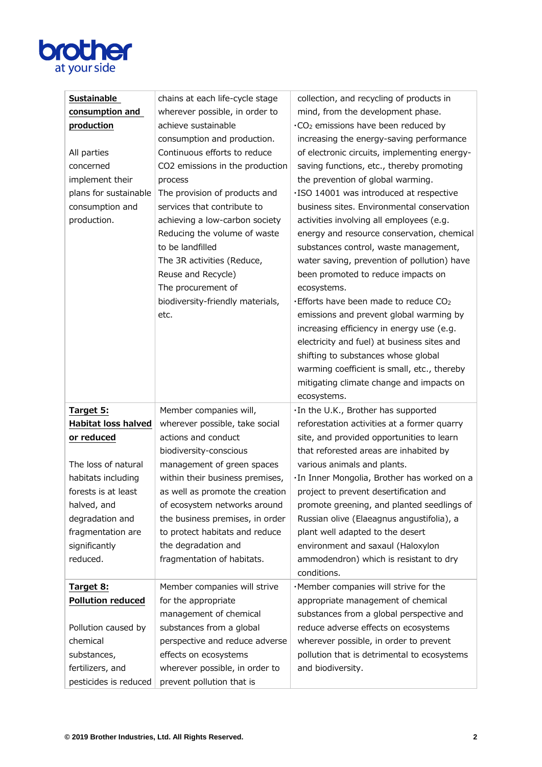

| Sustainable<br>consumption and<br>production<br>All parties<br>concerned<br>implement their<br>plans for sustainable<br>consumption and<br>production. | chains at each life-cycle stage<br>wherever possible, in order to<br>achieve sustainable<br>consumption and production.<br>Continuous efforts to reduce<br>CO2 emissions in the production<br>process<br>The provision of products and<br>services that contribute to<br>achieving a low-carbon society<br>Reducing the volume of waste | collection, and recycling of products in<br>mind, from the development phase.<br>.CO <sub>2</sub> emissions have been reduced by<br>increasing the energy-saving performance<br>of electronic circuits, implementing energy-<br>saving functions, etc., thereby promoting<br>the prevention of global warming.<br>·ISO 14001 was introduced at respective<br>business sites. Environmental conservation<br>activities involving all employees (e.g.<br>energy and resource conservation, chemical |
|--------------------------------------------------------------------------------------------------------------------------------------------------------|-----------------------------------------------------------------------------------------------------------------------------------------------------------------------------------------------------------------------------------------------------------------------------------------------------------------------------------------|---------------------------------------------------------------------------------------------------------------------------------------------------------------------------------------------------------------------------------------------------------------------------------------------------------------------------------------------------------------------------------------------------------------------------------------------------------------------------------------------------|
|                                                                                                                                                        | to be landfilled<br>The 3R activities (Reduce,<br>Reuse and Recycle)<br>The procurement of<br>biodiversity-friendly materials,<br>etc.                                                                                                                                                                                                  | substances control, waste management,<br>water saving, prevention of pollution) have<br>been promoted to reduce impacts on<br>ecosystems.<br>Efforts have been made to reduce $CO2$<br>emissions and prevent global warming by<br>increasing efficiency in energy use (e.g.<br>electricity and fuel) at business sites and<br>shifting to substances whose global<br>warming coefficient is small, etc., thereby<br>mitigating climate change and impacts on<br>ecosystems.                       |
| Target 5:                                                                                                                                              | Member companies will,                                                                                                                                                                                                                                                                                                                  | .In the U.K., Brother has supported                                                                                                                                                                                                                                                                                                                                                                                                                                                               |
| <b>Habitat loss halved</b><br>or reduced                                                                                                               | wherever possible, take social<br>actions and conduct                                                                                                                                                                                                                                                                                   | reforestation activities at a former quarry<br>site, and provided opportunities to learn                                                                                                                                                                                                                                                                                                                                                                                                          |
|                                                                                                                                                        | biodiversity-conscious                                                                                                                                                                                                                                                                                                                  | that reforested areas are inhabited by                                                                                                                                                                                                                                                                                                                                                                                                                                                            |
| The loss of natural                                                                                                                                    | management of green spaces                                                                                                                                                                                                                                                                                                              | various animals and plants.                                                                                                                                                                                                                                                                                                                                                                                                                                                                       |
| habitats including                                                                                                                                     | within their business premises,                                                                                                                                                                                                                                                                                                         | ·In Inner Mongolia, Brother has worked on a                                                                                                                                                                                                                                                                                                                                                                                                                                                       |
| forests is at least                                                                                                                                    | as well as promote the creation                                                                                                                                                                                                                                                                                                         | project to prevent desertification and                                                                                                                                                                                                                                                                                                                                                                                                                                                            |
| halved, and                                                                                                                                            | of ecosystem networks around                                                                                                                                                                                                                                                                                                            | promote greening, and planted seedlings of                                                                                                                                                                                                                                                                                                                                                                                                                                                        |
| degradation and                                                                                                                                        | the business premises, in order                                                                                                                                                                                                                                                                                                         | Russian olive (Elaeagnus angustifolia), a                                                                                                                                                                                                                                                                                                                                                                                                                                                         |
| fragmentation are                                                                                                                                      | to protect habitats and reduce                                                                                                                                                                                                                                                                                                          | plant well adapted to the desert                                                                                                                                                                                                                                                                                                                                                                                                                                                                  |
| significantly                                                                                                                                          | the degradation and                                                                                                                                                                                                                                                                                                                     | environment and saxaul (Haloxylon                                                                                                                                                                                                                                                                                                                                                                                                                                                                 |
| reduced.                                                                                                                                               | fragmentation of habitats.                                                                                                                                                                                                                                                                                                              | ammodendron) which is resistant to dry<br>conditions.                                                                                                                                                                                                                                                                                                                                                                                                                                             |
| Target 8:                                                                                                                                              | Member companies will strive                                                                                                                                                                                                                                                                                                            | ·Member companies will strive for the                                                                                                                                                                                                                                                                                                                                                                                                                                                             |
| <b>Pollution reduced</b>                                                                                                                               | for the appropriate                                                                                                                                                                                                                                                                                                                     | appropriate management of chemical                                                                                                                                                                                                                                                                                                                                                                                                                                                                |
|                                                                                                                                                        | management of chemical                                                                                                                                                                                                                                                                                                                  | substances from a global perspective and                                                                                                                                                                                                                                                                                                                                                                                                                                                          |
| Pollution caused by                                                                                                                                    | substances from a global                                                                                                                                                                                                                                                                                                                | reduce adverse effects on ecosystems                                                                                                                                                                                                                                                                                                                                                                                                                                                              |
| chemical                                                                                                                                               | perspective and reduce adverse                                                                                                                                                                                                                                                                                                          | wherever possible, in order to prevent                                                                                                                                                                                                                                                                                                                                                                                                                                                            |
| substances,                                                                                                                                            | effects on ecosystems                                                                                                                                                                                                                                                                                                                   | pollution that is detrimental to ecosystems                                                                                                                                                                                                                                                                                                                                                                                                                                                       |
| fertilizers, and                                                                                                                                       | wherever possible, in order to                                                                                                                                                                                                                                                                                                          | and biodiversity.                                                                                                                                                                                                                                                                                                                                                                                                                                                                                 |
| pesticides is reduced                                                                                                                                  | prevent pollution that is                                                                                                                                                                                                                                                                                                               |                                                                                                                                                                                                                                                                                                                                                                                                                                                                                                   |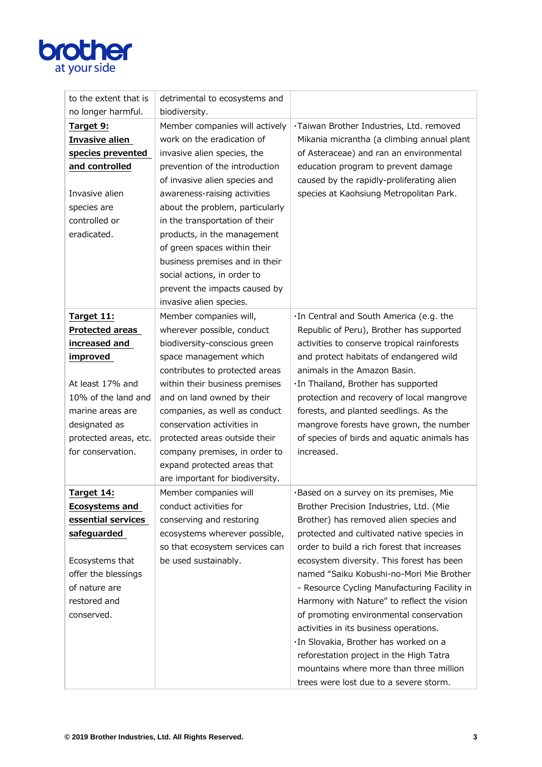

| to the extent that is  | detrimental to ecosystems and   |                                              |
|------------------------|---------------------------------|----------------------------------------------|
| no longer harmful.     | biodiversity.                   |                                              |
| Target 9:              | Member companies will actively  | ·Taiwan Brother Industries, Ltd. removed     |
| <b>Invasive alien</b>  | work on the eradication of      | Mikania micrantha (a climbing annual plant   |
| species prevented      | invasive alien species, the     | of Asteraceae) and ran an environmental      |
| and controlled         | prevention of the introduction  | education program to prevent damage          |
|                        | of invasive alien species and   | caused by the rapidly-proliferating alien    |
| Invasive alien         | awareness-raising activities    | species at Kaohsiung Metropolitan Park.      |
| species are            | about the problem, particularly |                                              |
| controlled or          | in the transportation of their  |                                              |
| eradicated.            | products, in the management     |                                              |
|                        | of green spaces within their    |                                              |
|                        | business premises and in their  |                                              |
|                        | social actions, in order to     |                                              |
|                        | prevent the impacts caused by   |                                              |
|                        | invasive alien species.         |                                              |
| Target 11:             | Member companies will,          | .In Central and South America (e.g. the      |
| <b>Protected areas</b> | wherever possible, conduct      | Republic of Peru), Brother has supported     |
| increased and          | biodiversity-conscious green    | activities to conserve tropical rainforests  |
| improved               | space management which          | and protect habitats of endangered wild      |
|                        | contributes to protected areas  | animals in the Amazon Basin.                 |
| At least 17% and       | within their business premises  | ·In Thailand, Brother has supported          |
| 10% of the land and    | and on land owned by their      | protection and recovery of local mangrove    |
| marine areas are       | companies, as well as conduct   | forests, and planted seedlings. As the       |
| designated as          | conservation activities in      | mangrove forests have grown, the number      |
| protected areas, etc.  | protected areas outside their   | of species of birds and aquatic animals has  |
| for conservation.      | company premises, in order to   | increased.                                   |
|                        | expand protected areas that     |                                              |
|                        | are important for biodiversity. |                                              |
| Target 14:             | Member companies will           | ·Based on a survey on its premises, Mie      |
| <b>Ecosystems and</b>  | conduct activities for          | Brother Precision Industries, Ltd. (Mie      |
| essential services     | conserving and restoring        | Brother) has removed alien species and       |
| safeguarded            | ecosystems wherever possible,   | protected and cultivated native species in   |
|                        | so that ecosystem services can  | order to build a rich forest that increases  |
| Ecosystems that        | be used sustainably.            | ecosystem diversity. This forest has been    |
| offer the blessings    |                                 | named "Saiku Kobushi-no-Mori Mie Brother     |
| of nature are          |                                 | - Resource Cycling Manufacturing Facility in |
| restored and           |                                 | Harmony with Nature" to reflect the vision   |
| conserved.             |                                 | of promoting environmental conservation      |
|                        |                                 | activities in its business operations.       |
|                        |                                 | ·In Slovakia, Brother has worked on a        |
|                        |                                 | reforestation project in the High Tatra      |
|                        |                                 | mountains where more than three million      |
|                        |                                 | trees were lost due to a severe storm.       |